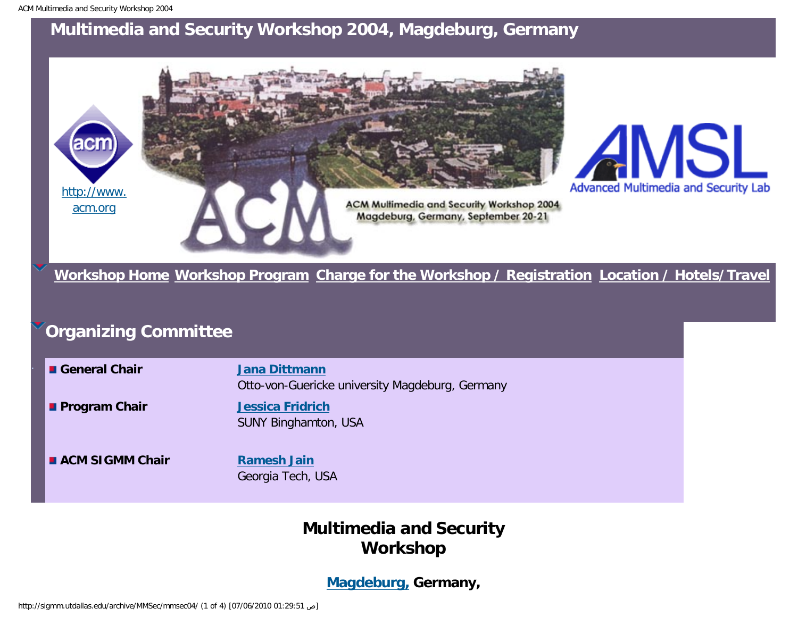

**[Workshop Home](#page-4-0) [Workshop Program](#page-8-0) [Charge for the Workshop / Registration](#page-13-0) [Location / Hotels/Travel](#page-15-0)**

# **Organizing Committee**

| <b>E</b> General Chair | <b>Jana Dittmann</b><br>Otto-von-Guericke university Magdeburg, Germany |
|------------------------|-------------------------------------------------------------------------|
| <b>Program Chair</b>   | <b>Jessica Fridrich</b><br><b>SUNY Binghamton, USA</b>                  |
| <b>ACM SIGMM Chair</b> | <b>Ramesh Jain</b><br>Georgia Tech, USA                                 |

## **Multimedia and Security Workshop**

#### **[Magdeburg,](http://www.magdeburg.de/) Germany,**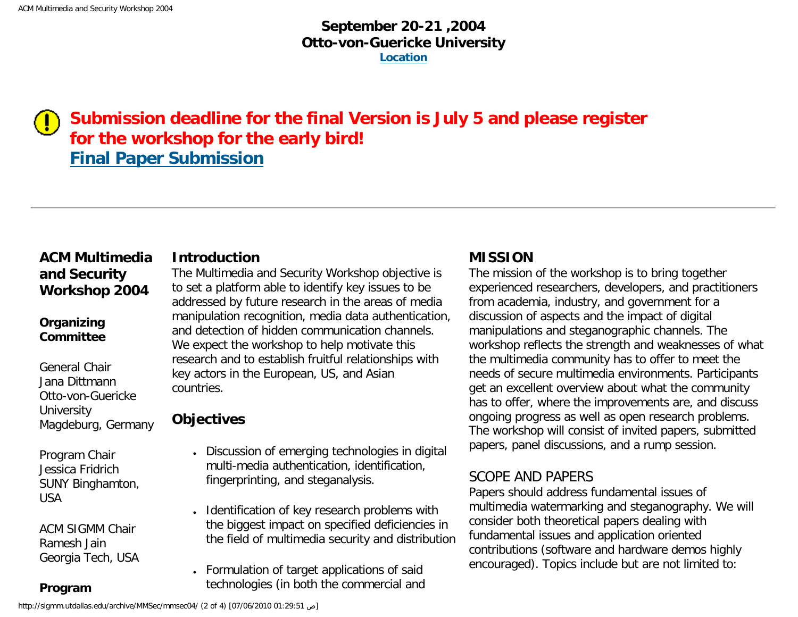## **September 20-21 ,2004 Otto-von-Guericke University [Location](#page-15-0)**

## **Submission deadline for the final Version is July 5 and please register for the workshop for the early bird! [Final Paper Submission](http://www.cloznet.com/mmsec04/mmsec04_submita.cfm)**

### **ACM Multimedia and Security Workshop 2004**

#### **Organizing Committee**

General Chair Jana Dittmann Otto-von-Guericke **University** Magdeburg, Germany

Program Chair Jessica Fridrich SUNY Binghamton, USA

ACM SIGMM Chair Ramesh Jain Georgia Tech, USA

**Program** 

#### **Introduction**

The Multimedia and Security Workshop objective is to set a platform able to identify key issues to be addressed by future research in the areas of media manipulation recognition, media data authentication, and detection of hidden communication channels. We expect the workshop to help motivate this research and to establish fruitful relationships with key actors in the European, US, and Asian countries.

## **Objectives**

- Discussion of emerging technologies in digital multi-media authentication, identification, fingerprinting, and steganalysis.
- Identification of key research problems with the biggest impact on specified deficiencies in the field of multimedia security and distribution
- Formulation of target applications of said technologies (in both the commercial and

#### **MISSION**

The mission of the workshop is to bring together experienced researchers, developers, and practitioners from academia, industry, and government for a discussion of aspects and the impact of digital manipulations and steganographic channels. The workshop reflects the strength and weaknesses of what the multimedia community has to offer to meet the needs of secure multimedia environments. Participants get an excellent overview about what the community has to offer, where the improvements are, and discuss ongoing progress as well as open research problems. The workshop will consist of invited papers, submitted papers, panel discussions, and a rump session.

### SCOPE AND PAPERS

Papers should address fundamental issues of multimedia watermarking and steganography. We will consider both theoretical papers dealing with fundamental issues and application oriented contributions (software and hardware demos highly encouraged). Topics include but are not limited to: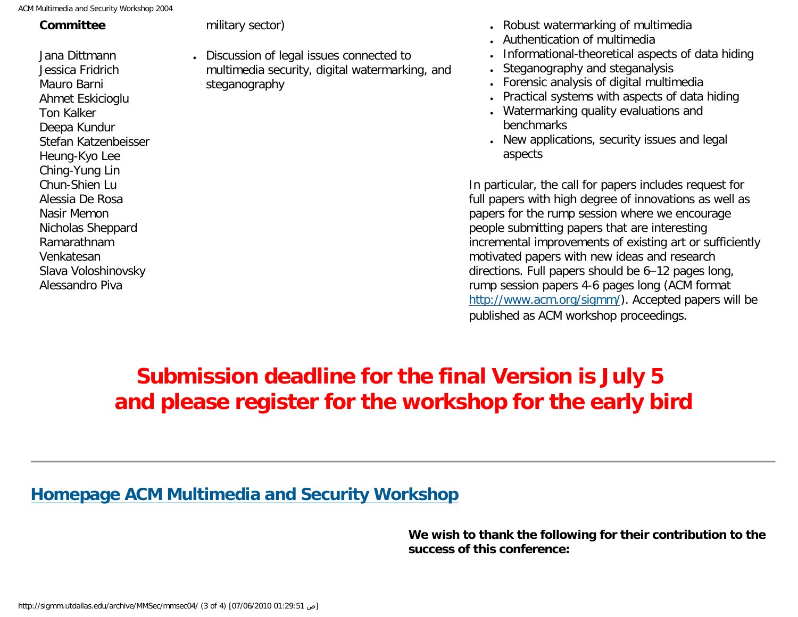| CM Multimedia and Security Workshop 2004                                                                                                                                                                                                                                                                            |                                                                                                              |
|---------------------------------------------------------------------------------------------------------------------------------------------------------------------------------------------------------------------------------------------------------------------------------------------------------------------|--------------------------------------------------------------------------------------------------------------|
| Committee                                                                                                                                                                                                                                                                                                           | military sector)                                                                                             |
| Jana Dittmann<br>Jessica Fridrich<br>Mauro Barni<br>Ahmet Eskicioglu<br><b>Ton Kalker</b><br>Deepa Kundur<br>Stefan Katzenbeisser<br>Heung-Kyo Lee<br>Ching-Yung Lin<br>Chun-Shien Lu<br>Alessia De Rosa<br>Nasir Memon<br>Nicholas Sheppard<br>Ramarathnam<br>Venkatesan<br>Slava Voloshinovsky<br>Alessandro Piva | • Discussion of legal issues connected to<br>multimedia security, digital watermarking, and<br>steganography |
|                                                                                                                                                                                                                                                                                                                     |                                                                                                              |

- Robust watermarking of multimedia
- Authentication of multimedia
- Informational-theoretical aspects of data hiding
- Steganography and steganalysis
- Forensic analysis of digital multimedia
- Practical systems with aspects of data hiding
- Watermarking quality evaluations and benchmarks
- New applications, security issues and legal aspects

In particular, the call for papers includes request for full papers with high degree of innovations as well as papers for the rump session where we encourage people submitting papers that are interesting incremental improvements of existing art or sufficiently motivated papers with new ideas and research directions. Full papers should be 6–12 pages long, rump session papers 4-6 pages long (ACM format [http://www.acm.org/sigmm/\)](http://www.acm.org/sigmm/). Accepted papers will be published as ACM workshop proceedings.

# **Submission deadline for the final Version is July 5 and please register for the workshop for the early bird**

## **[Homepage ACM Multimedia and Security Workshop](http://wwwiti.cs.uni-magdeburg.de/iti_amsl/acm/acm_home.html)**

**We wish to thank the following for their contribution to the success of this conference:**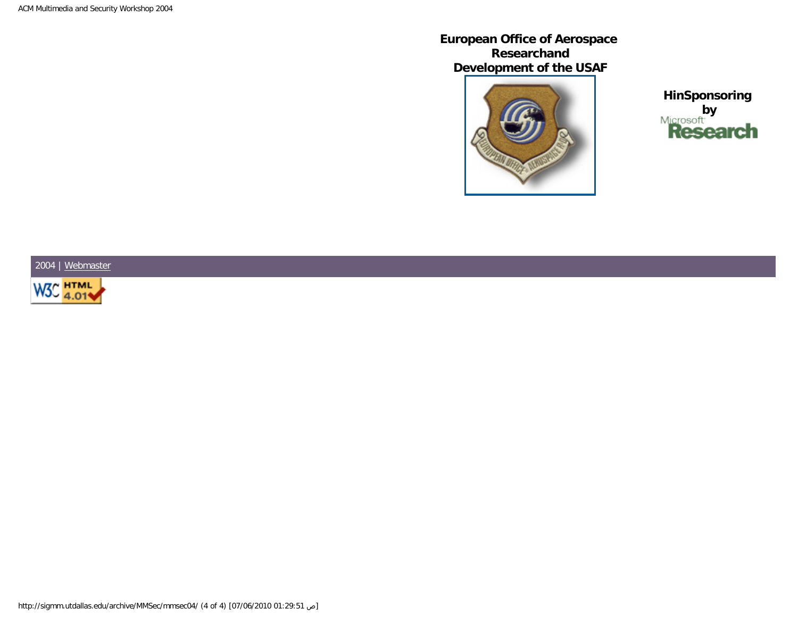**European Office of Aerospace Researchand Development of the USAF**



**HinSponsoring by**<br>**Research** 

2004 | [Webmaster](mailto:mwenzel@iti.cs.uni-magdeburg.de)

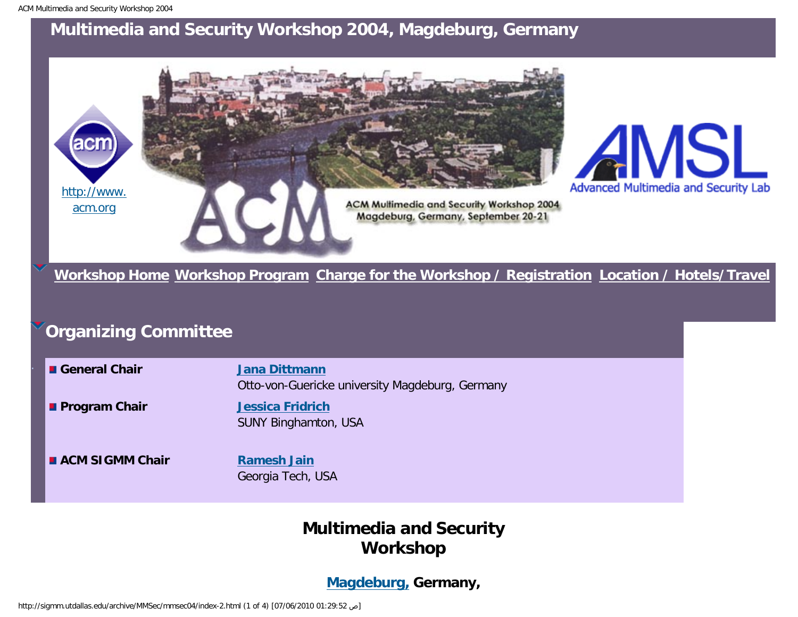<span id="page-4-0"></span>

**[Workshop Home](#page-4-0) [Workshop Program](#page-8-0) [Charge for the Workshop / Registration](#page-13-0) [Location / Hotels/Travel](#page-15-0)**

# **Organizing Committee**

| <b>■ General Chair</b> | <b>Jana Dittmann</b><br>Otto-von-Guericke university Magdeburg, Germany |
|------------------------|-------------------------------------------------------------------------|
| <b>Program Chair</b>   | <b>Jessica Fridrich</b><br><b>SUNY Binghamton, USA</b>                  |
| <b>ACM SIGMM Chair</b> | <b>Ramesh Jain</b><br>Georgia Tech, USA                                 |

## **Multimedia and Security Workshop**

#### **[Magdeburg,](http://www.magdeburg.de/) Germany,**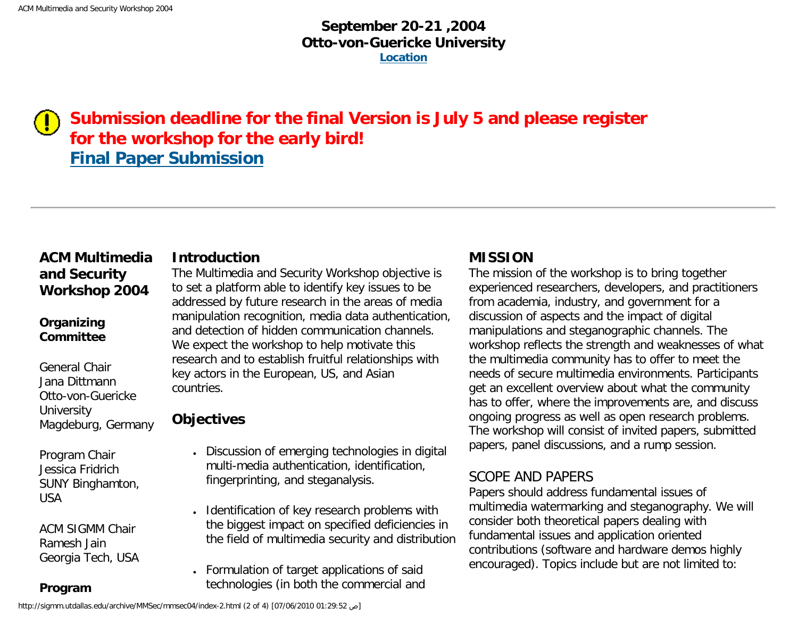## **September 20-21 ,2004 Otto-von-Guericke University [Location](#page-15-0)**

## **Submission deadline for the final Version is July 5 and please register for the workshop for the early bird! [Final Paper Submission](http://www.cloznet.com/mmsec04/mmsec04_submita.cfm)**

### **ACM Multimedia and Security Workshop 2004**

#### **Organizing Committee**

General Chair Jana Dittmann Otto-von-Guericke **University** Magdeburg, Germany

Program Chair Jessica Fridrich SUNY Binghamton, USA

ACM SIGMM Chair Ramesh Jain Georgia Tech, USA

**Program** 

#### **Introduction**

The Multimedia and Security Workshop objective is to set a platform able to identify key issues to be addressed by future research in the areas of media manipulation recognition, media data authentication, and detection of hidden communication channels. We expect the workshop to help motivate this research and to establish fruitful relationships with key actors in the European, US, and Asian countries.

## **Objectives**

- Discussion of emerging technologies in digital multi-media authentication, identification, fingerprinting, and steganalysis.
- Identification of key research problems with the biggest impact on specified deficiencies in the field of multimedia security and distribution
- Formulation of target applications of said technologies (in both the commercial and

#### **MISSION**

The mission of the workshop is to bring together experienced researchers, developers, and practitioners from academia, industry, and government for a discussion of aspects and the impact of digital manipulations and steganographic channels. The workshop reflects the strength and weaknesses of what the multimedia community has to offer to meet the needs of secure multimedia environments. Participants get an excellent overview about what the community has to offer, where the improvements are, and discuss ongoing progress as well as open research problems. The workshop will consist of invited papers, submitted papers, panel discussions, and a rump session.

### SCOPE AND PAPERS

Papers should address fundamental issues of multimedia watermarking and steganography. We will consider both theoretical papers dealing with fundamental issues and application oriented contributions (software and hardware demos highly encouraged). Topics include but are not limited to: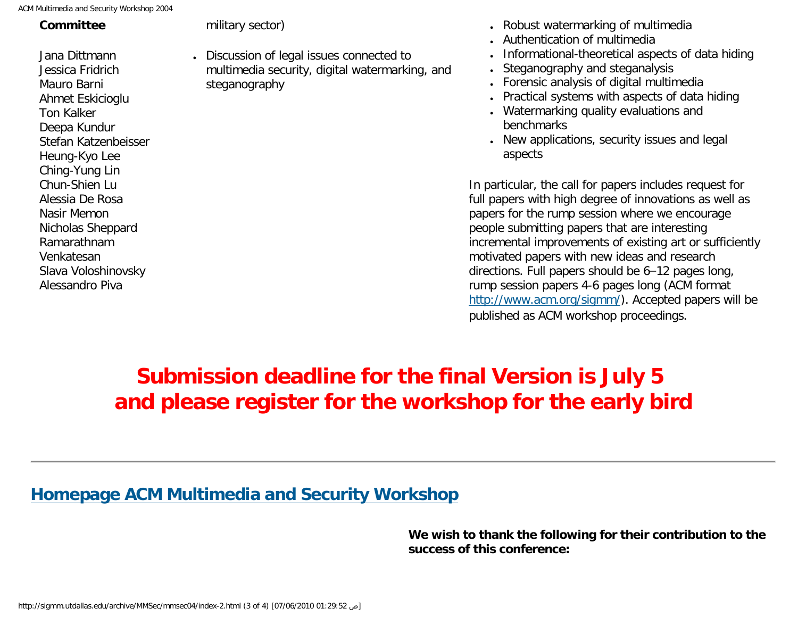| Committee<br>military sector)<br>Jana Dittmann<br>$\bullet$<br>Jessica Fridrich<br>Mauro Barni<br>steganography<br>Ahmet Eskicioglu<br><b>Ton Kalker</b><br>Deepa Kundur<br>Stefan Katzenbeisser<br>Heung-Kyo Lee<br>Ching-Yung Lin<br>Chun-Shien Lu<br>Alessia De Rosa<br>Nasir Memon<br>Nicholas Sheppard<br>Ramarathnam<br>Venkatesan | ACM Multimedia and Security Workshop 2004 |                                                                             |
|------------------------------------------------------------------------------------------------------------------------------------------------------------------------------------------------------------------------------------------------------------------------------------------------------------------------------------------|-------------------------------------------|-----------------------------------------------------------------------------|
|                                                                                                                                                                                                                                                                                                                                          |                                           |                                                                             |
| Slava Voloshinovsky<br>Alessandro Piva                                                                                                                                                                                                                                                                                                   |                                           | Discussion of legal issues connector<br>multimedia security, digital waterr |

- Discussion of legal issues connected to marking, and
- Robust watermarking of multimedia
- Authentication of multimedia
- Informational-theoretical aspects of data hiding
- Steganography and steganalysis
- Forensic analysis of digital multimedia
- Practical systems with aspects of data hiding
- Watermarking quality evaluations and benchmarks
- New applications, security issues and legal aspects

In particular, the call for papers includes request for full papers with high degree of innovations as well as papers for the rump session where we encourage people submitting papers that are interesting incremental improvements of existing art or sufficiently motivated papers with new ideas and research directions. Full papers should be 6–12 pages long, rump session papers 4-6 pages long (ACM format [http://www.acm.org/sigmm/\)](http://www.acm.org/sigmm/). Accepted papers will be published as ACM workshop proceedings.

# **Submission deadline for the final Version is July 5 and please register for the workshop for the early bird**

## **[Homepage ACM Multimedia and Security Workshop](http://wwwiti.cs.uni-magdeburg.de/iti_amsl/acm/acm_home.html)**

**We wish to thank the following for their contribution to the success of this conference:**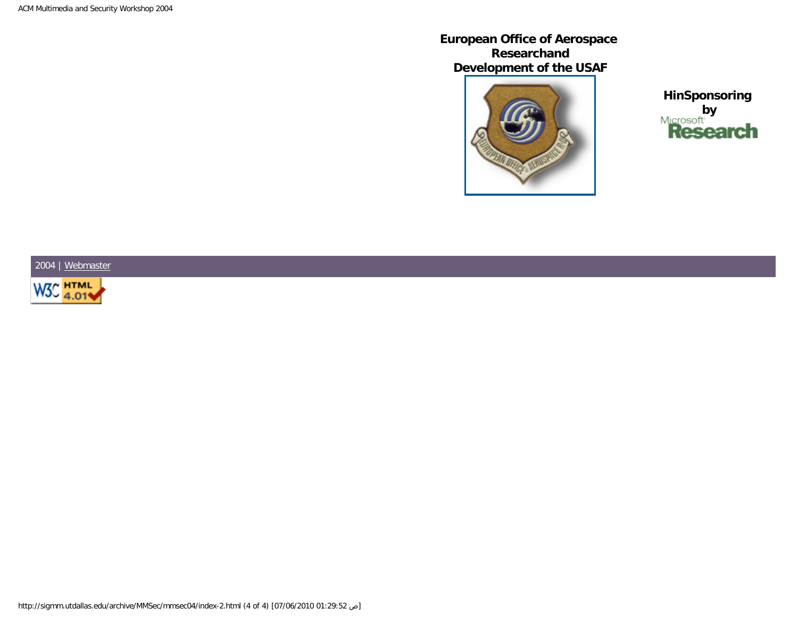**European Office of Aerospace Researchand Development of the USAF**



**HinSponsoring by**<br>**Research** 

2004 | [Webmaster](mailto:mwenzel@iti.cs.uni-magdeburg.de)

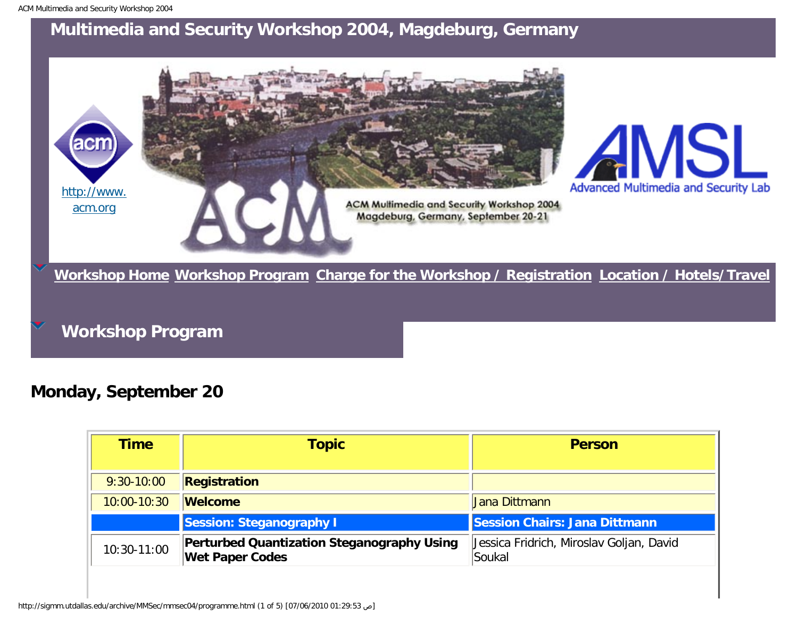<span id="page-8-0"></span>

**Workshop Program**

**Monday, September 20**

| Time            | <b>Topic</b>                                                                | <b>Person</b>                                      |  |
|-----------------|-----------------------------------------------------------------------------|----------------------------------------------------|--|
| $9:30-10:00$    | Registration                                                                |                                                    |  |
| $10:00 - 10:30$ | <b>Welcome</b>                                                              | Jana Dittmann                                      |  |
|                 | <b>Session: Steganography I</b>                                             | Session Chairs: Jana Dittmann                      |  |
| 10:30-11:00     | <b>Perturbed Quantization Steganography Using</b><br><b>Wet Paper Codes</b> | Jessica Fridrich, Miroslav Goljan, David<br>Soukal |  |

http://sigmm.utdallas.edu/archive/MMSec/mmsec04/programme.html (1 of 5) [07/06/2010 01:29:53 ص[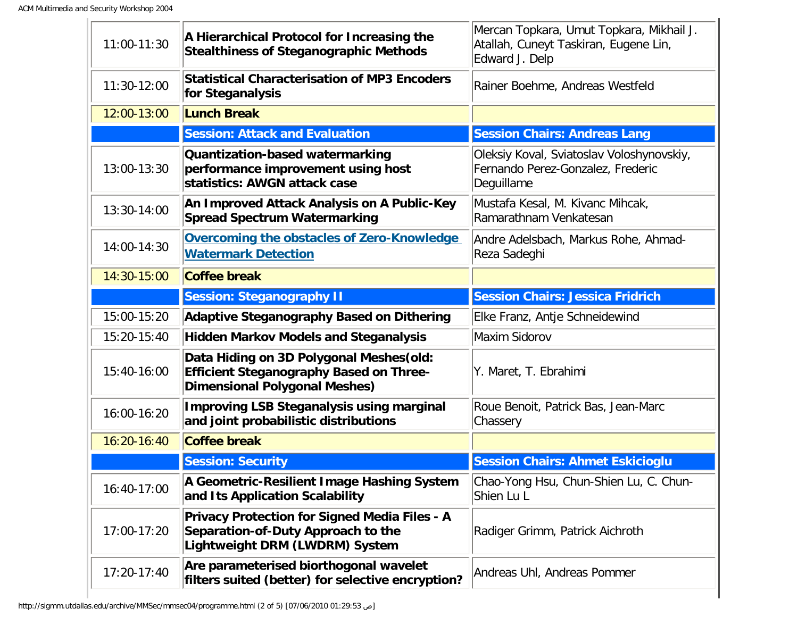| 11:00-11:30 | A Hierarchical Protocol for Increasing the<br><b>Stealthiness of Steganographic Methods</b>                                        | Mercan Topkara, Umut Topkara, Mikhail J.<br>Atallah, Cuneyt Taskiran, Eugene Lin,<br>Edward J. Delp |  |
|-------------|------------------------------------------------------------------------------------------------------------------------------------|-----------------------------------------------------------------------------------------------------|--|
| 11:30-12:00 | <b>Statistical Characterisation of MP3 Encoders</b><br>for Steganalysis                                                            | Rainer Boehme, Andreas Westfeld                                                                     |  |
| 12:00-13:00 | <b>Lunch Break</b>                                                                                                                 |                                                                                                     |  |
|             | <b>Session: Attack and Evaluation</b>                                                                                              | <b>Session Chairs: Andreas Lang</b>                                                                 |  |
| 13:00-13:30 | Quantization-based watermarking<br>performance improvement using host<br>statistics: AWGN attack case                              | Oleksiy Koval, Sviatoslav Voloshynovskiy,<br>Fernando Perez-Gonzalez, Frederic<br>Deguillame        |  |
| 13:30-14:00 | An Improved Attack Analysis on A Public-Key<br><b>Spread Spectrum Watermarking</b>                                                 | Mustafa Kesal, M. Kivanc Mihcak,<br>Ramarathnam Venkatesan                                          |  |
| 14:00-14:30 | Overcoming the obstacles of Zero-Knowledge<br><b>Watermark Detection</b>                                                           | Andre Adelsbach, Markus Rohe, Ahmad-<br>Reza Sadeghi                                                |  |
| 14:30-15:00 | <b>Coffee break</b>                                                                                                                |                                                                                                     |  |
|             | <b>Session: Steganography II</b>                                                                                                   | <b>Session Chairs: Jessica Fridrich</b>                                                             |  |
| 15:00-15:20 | <b>Adaptive Steganography Based on Dithering</b>                                                                                   | Elke Franz, Antje Schneidewind                                                                      |  |
| 15:20-15:40 | <b>Hidden Markov Models and Steganalysis</b>                                                                                       | Maxim Sidorov                                                                                       |  |
| 15:40-16:00 | Data Hiding on 3D Polygonal Meshes (old:<br><b>Efficient Steganography Based on Three-</b><br><b>Dimensional Polygonal Meshes)</b> | Y. Maret, T. Ebrahimi                                                                               |  |
| 16:00-16:20 | <b>Improving LSB Steganalysis using marginal</b><br>and joint probabilistic distributions                                          | Roue Benoit, Patrick Bas, Jean-Marc<br>Chassery                                                     |  |
| 16:20-16:40 | <b>Coffee break</b>                                                                                                                |                                                                                                     |  |
|             | <b>Session: Security</b>                                                                                                           | <b>Session Chairs: Ahmet Eskicioglu</b>                                                             |  |
| 16:40-17:00 | A Geometric-Resilient Image Hashing System<br>and Its Application Scalability                                                      | Chao-Yong Hsu, Chun-Shien Lu, C. Chun-<br>Shien Lu L                                                |  |
| 17:00-17:20 | <b>Privacy Protection for Signed Media Files - A</b><br>Separation-of-Duty Approach to the<br>Lightweight DRM (LWDRM) System       | Radiger Grimm, Patrick Aichroth                                                                     |  |
| 17:20-17:40 | Are parameterised biorthogonal wavelet<br>filters suited (better) for selective encryption?                                        | Andreas Uhl, Andreas Pommer                                                                         |  |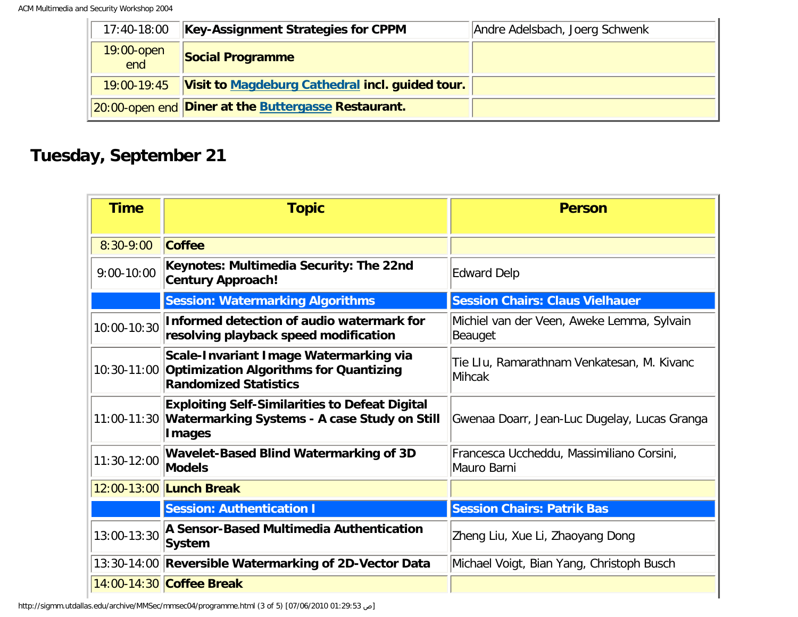| 17:40-18:00          | <b>Key-Assignment Strategies for CPPM</b>           | Andre Adelsbach, Joerg Schwenk |
|----------------------|-----------------------------------------------------|--------------------------------|
| $19:00$ -open<br>end | <b>Social Programme</b>                             |                                |
| 19:00-19:45          | Visit to Magdeburg Cathedral incl. guided tour.     |                                |
|                      | 20:00-open end Diner at the Buttergasse Restaurant. |                                |

# **Tuesday, September 21**

| <b>Time</b>    | <b>Topic</b>                                                                                                                 | <b>Person</b>                                            |  |
|----------------|------------------------------------------------------------------------------------------------------------------------------|----------------------------------------------------------|--|
| 8:30-9:00      | <b>Coffee</b>                                                                                                                |                                                          |  |
| $9:00 - 10:00$ | Keynotes: Multimedia Security: The 22nd<br><b>Century Approach!</b>                                                          | <b>Edward Delp</b>                                       |  |
|                | <b>Session: Watermarking Algorithms</b>                                                                                      | <b>Session Chairs: Claus Vielhauer</b>                   |  |
| 10:00-10:30    | Informed detection of audio watermark for<br>resolving playback speed modification                                           | Michiel van der Veen, Aweke Lemma, Sylvain<br>Beauget    |  |
|                | Scale-Invariant Image Watermarking via<br>10:30-11:00 Optimization Algorithms for Quantizing<br><b>Randomized Statistics</b> | Tie LIu, Ramarathnam Venkatesan, M. Kivanc<br>Mihcak     |  |
|                | <b>Exploiting Self-Similarities to Defeat Digital</b><br>11:00-11:30 Watermarking Systems - A case Study on Still<br>Images  | Gwenaa Doarr, Jean-Luc Dugelay, Lucas Granga             |  |
| 11:30-12:00    | <b>Wavelet-Based Blind Watermarking of 3D</b><br><b>Models</b>                                                               | Francesca Uccheddu, Massimiliano Corsini,<br>Mauro Barni |  |
|                | 12:00-13:00 Lunch Break                                                                                                      |                                                          |  |
|                | <b>Session: Authentication I</b>                                                                                             | <b>Session Chairs: Patrik Bas</b>                        |  |
| 13:00-13:30    | A Sensor-Based Multimedia Authentication<br>System                                                                           | Zheng Liu, Xue Li, Zhaoyang Dong                         |  |
|                | 13:30-14:00 Reversible Watermarking of 2D-Vector Data                                                                        | Michael Voigt, Bian Yang, Christoph Busch                |  |
|                | 14:00-14:30 Coffee Break                                                                                                     |                                                          |  |

http://sigmm.utdallas.edu/archive/MMSec/mmsec04/programme.html (3 of 5) [07/06/2010 01:29:53 ص[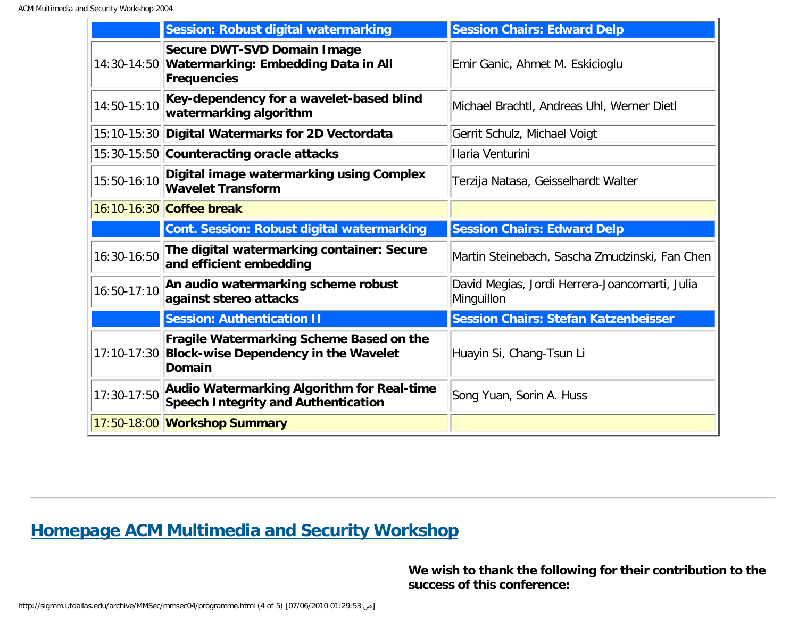|             | <b>Session: Robust digital watermarking</b>                                                            | <b>Session Chairs: Edward Delp</b>                           |  |
|-------------|--------------------------------------------------------------------------------------------------------|--------------------------------------------------------------|--|
|             | Secure DWT-SVD Domain Image<br>14:30-14:50 Watermarking: Embedding Data in All<br>Frequencies          | Emir Ganic, Ahmet M. Eskicioglu                              |  |
| 14:50-15:10 | Key-dependency for a wavelet-based blind<br>watermarking algorithm                                     | Michael Brachtl, Andreas Uhl, Werner Dietl                   |  |
|             | 15:10-15:30 Digital Watermarks for 2D Vectordata                                                       | Gerrit Schulz, Michael Voigt                                 |  |
|             | 15:30-15:50 Counteracting oracle attacks                                                               | Ilaria Venturini                                             |  |
| 15:50-16:10 | Digital image watermarking using Complex<br><b>Wavelet Transform</b>                                   | Terzija Natasa, Geisselhardt Walter                          |  |
|             | 16:10-16:30 Coffee break                                                                               |                                                              |  |
|             | Cont. Session: Robust digital watermarking                                                             | <b>Session Chairs: Edward Delp</b>                           |  |
| 16:30-16:50 | The digital watermarking container: Secure<br>and efficient embedding                                  | Martin Steinebach, Sascha Zmudzinski, Fan Chen               |  |
| 16:50-17:10 | An audio watermarking scheme robust<br>against stereo attacks                                          | David Megias, Jordi Herrera-Joancomarti, Julia<br>Minguillon |  |
|             | <b>Session: Authentication II</b>                                                                      | <b>Session Chairs: Stefan Katzenbeisser</b>                  |  |
|             | Fragile Watermarking Scheme Based on the<br>17:10-17:30 Block-wise Dependency in the Wavelet<br>Domain | Huayin Si, Chang-Tsun Li                                     |  |
| 17:30-17:50 | Audio Watermarking Algorithm for Real-time<br>Speech Integrity and Authentication                      | Song Yuan, Sorin A. Huss                                     |  |
|             | 17:50-18:00 Workshop Summary                                                                           |                                                              |  |

## **[Homepage ACM Multimedia and Security Workshop](http://wwwiti.cs.uni-magdeburg.de/iti_amsl/acm/acm_home.html)**

**We wish to thank the following for their contribution to the success of this conference:**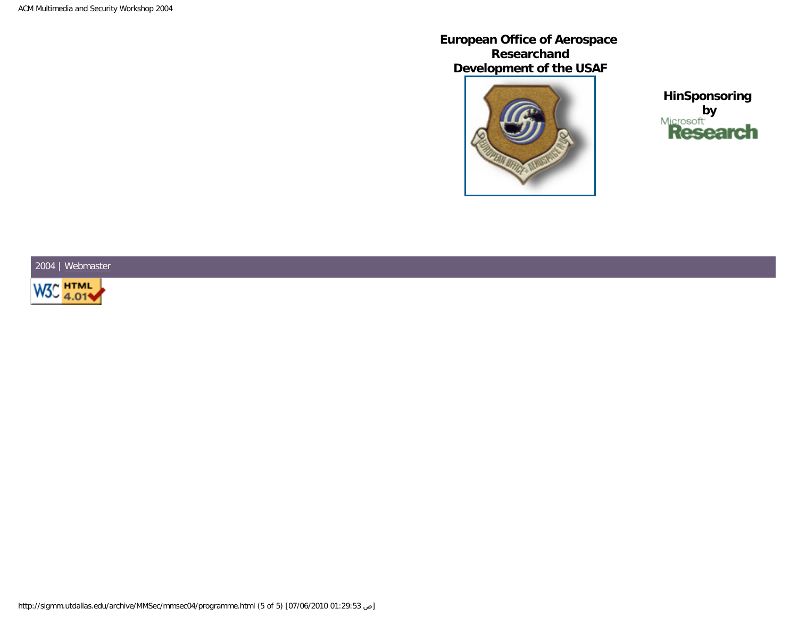**European Office of Aerospace Researchand Development of the USAF**



**HinSponsoring by**<br>**Research** 

2004 | [Webmaster](mailto:mwenzel@iti.cs.uni-magdeburg.de)

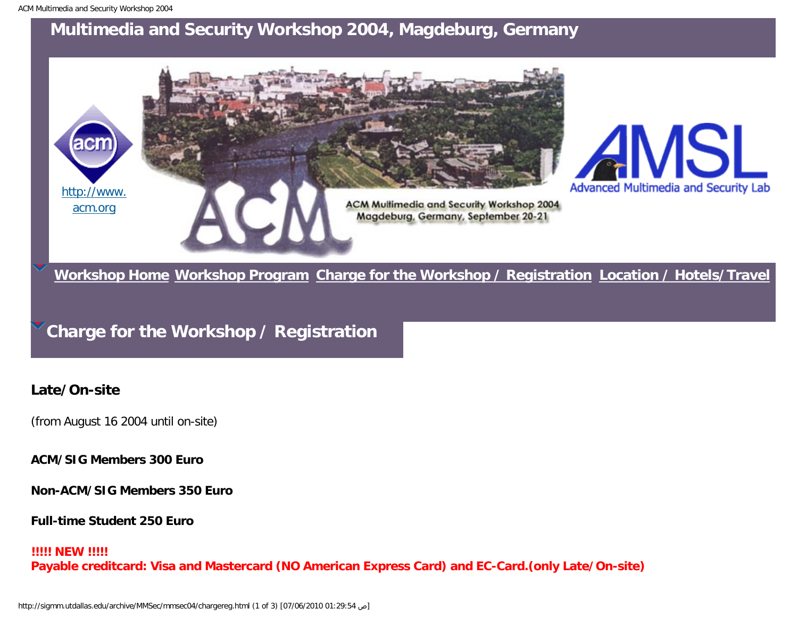<span id="page-13-0"></span>

**[Workshop Home](#page-4-0) [Workshop Program](#page-8-0) [Charge for the Workshop / Registration](#page-13-0) [Location / Hotels/Travel](#page-15-0)**

**Charge for the Workshop / Registration**

#### **Late/On-site**

(from August 16 2004 until on-site)

**ACM/SIG Members 300 Euro**

**Non-ACM/SIG Members 350 Euro**

**Full-time Student 250 Euro**

#### **!!!!! NEW !!!!!**

**Payable creditcard: Visa and Mastercard (NO American Express Card) and EC-Card.(only Late/On-site)**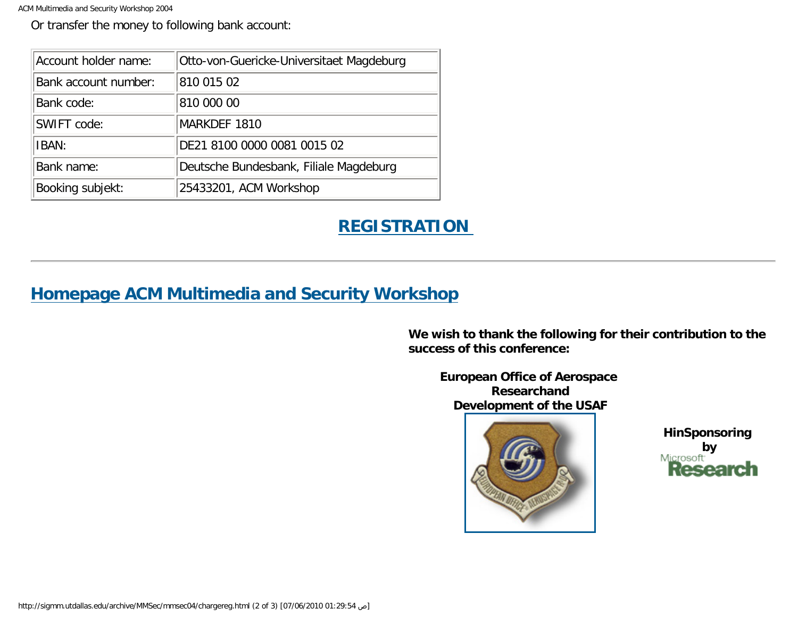ACM Multimedia and Security Workshop 2004

Or transfer the money to following bank account:

| Account holder name: | Otto-von-Guericke-Universitaet Magdeburg |
|----------------------|------------------------------------------|
| Bank account number: | 810 015 02                               |
| Bank code:           | 810 000 00                               |
| SWIFT code:          | MARKDEF 1810                             |
| IBAN:                | DE21 8100 0000 0081 0015 02              |
| Bank name:           | Deutsche Bundesbank, Filiale Magdeburg   |
| Booking subjekt:     | 25433201, ACM Workshop                   |

# **[REGISTRATION](http://amsl-smb.cs.uni-magdeburg.de/acm/acm04/regist.php)**

## **[Homepage ACM Multimedia and Security Workshop](http://wwwiti.cs.uni-magdeburg.de/iti_amsl/acm/acm_home.html)**

**We wish to thank the following for their contribution to the success of this conference:**

**European Office of Aerospace Researchand Development of the USAF**



**HinSponsoring by**<br>Microsoft **Research**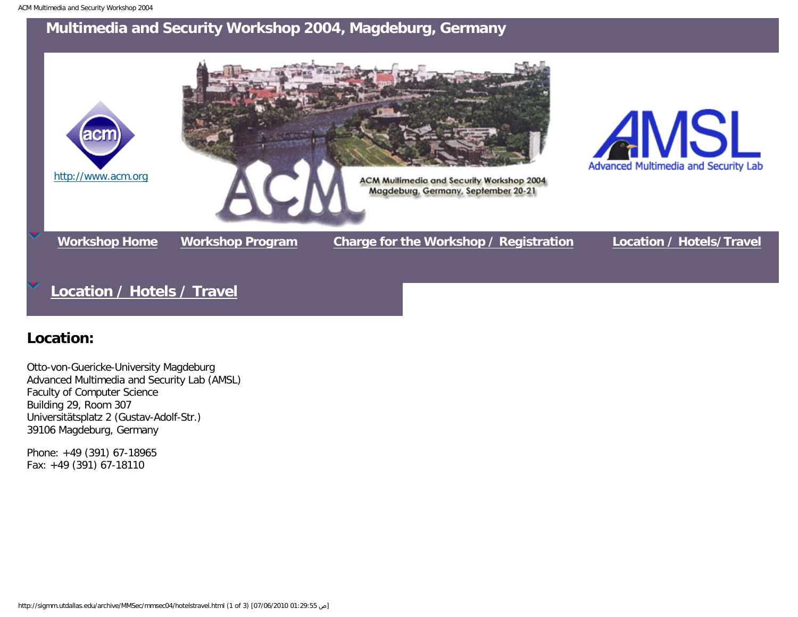<span id="page-15-0"></span>

## **[Location / Hotels / Travel](#page-15-0)**

### **Location:**

Otto-von-Guericke-University Magdeburg Advanced Multimedia and Security Lab (AMSL) Faculty of Computer Science Building 29, Room 307 Universitätsplatz 2 (Gustav-Adolf-Str.) 39106 Magdeburg, Germany

Phone: +49 (391) 67-18965 Fax: +49 (391) 67-18110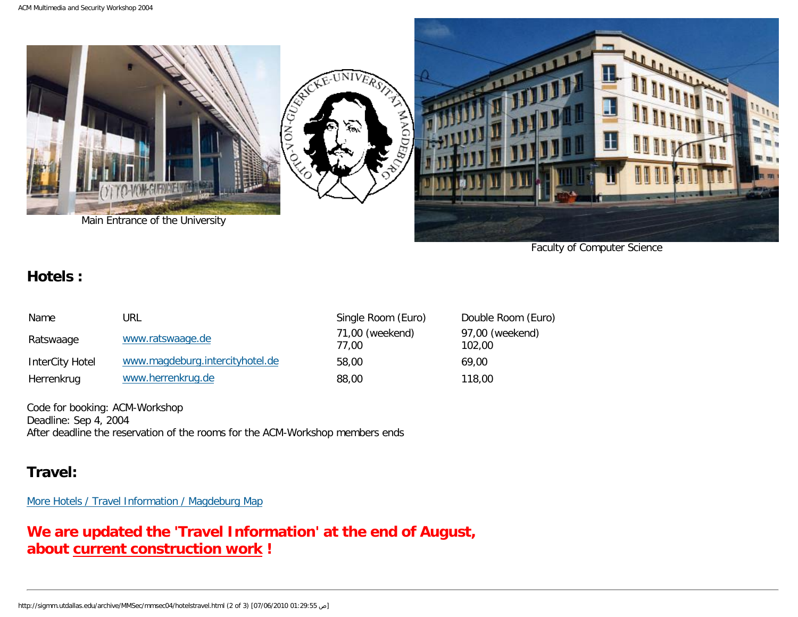

Faculty of Computer Science

#### **Hotels :**

| Name            | url                             | Single Room (Euro)       | Double Room (Euro)        |
|-----------------|---------------------------------|--------------------------|---------------------------|
| Ratswaage       | www.ratswaage.de                | 71,00 (weekend)<br>77.00 | 97,00 (weekend)<br>102.00 |
| InterCity Hotel | www.magdeburg.intercityhotel.de | 58,00                    | 69.00                     |
| Herrenkrug      | www.herrenkrug.de               | 88,00                    | 118,00                    |

Code for booking: ACM-Workshop Deadline: Sep 4, 2004 After deadline the reservation of the rooms for the ACM-Workshop members ends

### **Travel:**

[More Hotels / Travel Information / Magdeburg Map](http://wwwiti.cs.uni-magdeburg.de/iti_amsl/anfahrt/)

## **We are updated the 'Travel Information' at the end of August, about [current construction work](http://sigmm.utdallas.edu/archive/MMSec/mmsec04/bau.jpg) !**